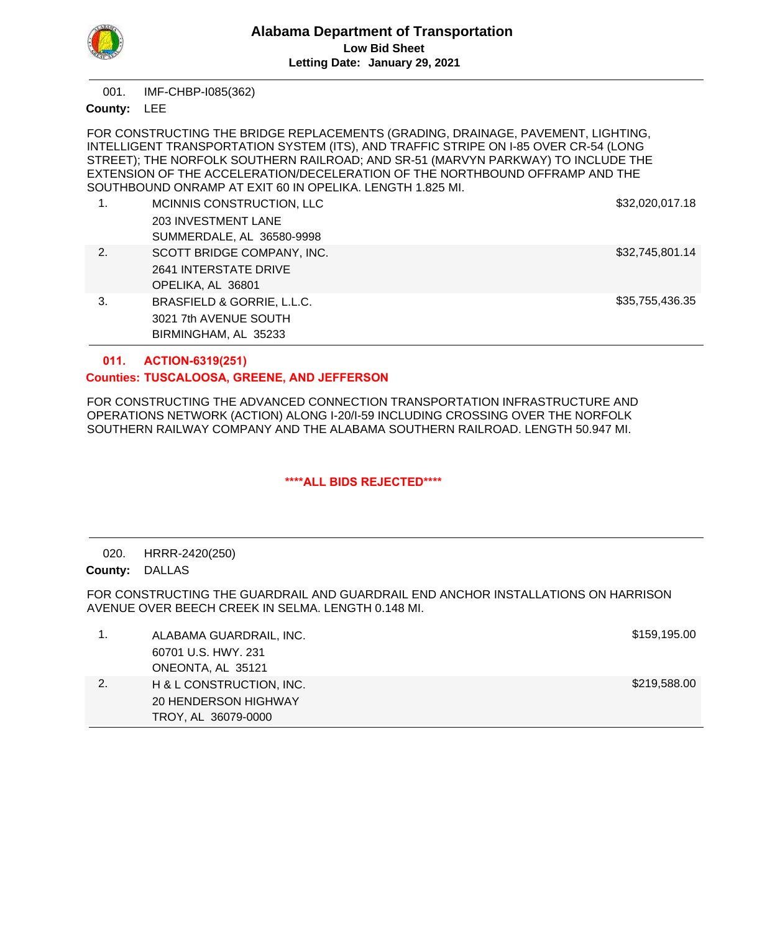

IMF-CHBP-I085(362) 001.

County: LEE

FOR CONSTRUCTING THE BRIDGE REPLACEMENTS (GRADING, DRAINAGE, PAVEMENT, LIGHTING, INTELLIGENT TRANSPORTATION SYSTEM (ITS), AND TRAFFIC STRIPE ON I-85 OVER CR-54 (LONG STREET); THE NORFOLK SOUTHERN RAILROAD; AND SR-51 (MARVYN PARKWAY) TO INCLUDE THE EXTENSION OF THE ACCELERATION/DECELERATION OF THE NORTHBOUND OFFRAMP AND THE SOUTHBOUND ONRAMP AT EXIT 60 IN OPELIKA. LENGTH 1.825 MI.

| 1. | MCINNIS CONSTRUCTION, LLC  | \$32,020,017.18 |
|----|----------------------------|-----------------|
|    | <b>203 INVESTMENT LANE</b> |                 |
|    | SUMMERDALE, AL 36580-9998  |                 |
| 2. | SCOTT BRIDGE COMPANY, INC. | \$32,745,801.14 |
|    | 2641 INTERSTATE DRIVE      |                 |
|    | OPELIKA, AL 36801          |                 |
| 3. | BRASFIELD & GORRIE, L.L.C. | \$35,755,436.35 |
|    | 3021 7th AVENUE SOUTH      |                 |
|    | BIRMINGHAM, AL 35233       |                 |

#### **ACTION-6319(251) 011.**

# **TUSCALOOSA, GREENE, AND JEFFERSON Counties:**

FOR CONSTRUCTING THE ADVANCED CONNECTION TRANSPORTATION INFRASTRUCTURE AND OPERATIONS NETWORK (ACTION) ALONG I-20/I-59 INCLUDING CROSSING OVER THE NORFOLK SOUTHERN RAILWAY COMPANY AND THE ALABAMA SOUTHERN RAILROAD. LENGTH 50.947 MI.

# **\*\*\*\*ALL BIDS REJECTED\*\*\*\***

HRRR-2420(250) 020.

County: DALLAS

FOR CONSTRUCTING THE GUARDRAIL AND GUARDRAIL END ANCHOR INSTALLATIONS ON HARRISON AVENUE OVER BEECH CREEK IN SELMA. LENGTH 0.148 MI.

|    | ALABAMA GUARDRAIL, INC.  | \$159,195.00 |
|----|--------------------------|--------------|
|    | 60701 U.S. HWY, 231      |              |
|    | ONEONTA, AL 35121        |              |
| 2. | H & L CONSTRUCTION, INC. | \$219,588.00 |
|    | 20 HENDERSON HIGHWAY     |              |
|    | TROY, AL 36079-0000      |              |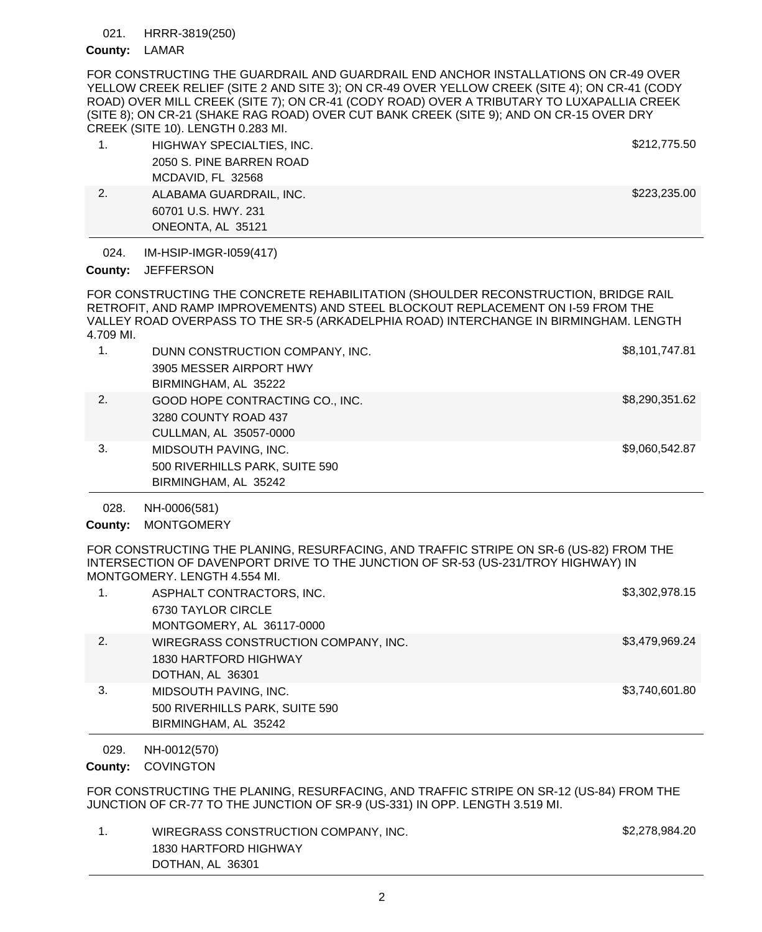#### HRRR-3819(250) 021.

## County: LAMAR

FOR CONSTRUCTING THE GUARDRAIL AND GUARDRAIL END ANCHOR INSTALLATIONS ON CR-49 OVER YELLOW CREEK RELIEF (SITE 2 AND SITE 3); ON CR-49 OVER YELLOW CREEK (SITE 4); ON CR-41 (CODY ROAD) OVER MILL CREEK (SITE 7); ON CR-41 (CODY ROAD) OVER A TRIBUTARY TO LUXAPALLIA CREEK (SITE 8); ON CR-21 (SHAKE RAG ROAD) OVER CUT BANK CREEK (SITE 9); AND ON CR-15 OVER DRY CREEK (SITE 10). LENGTH 0.283 MI.

|    | HIGHWAY SPECIALTIES, INC. | \$212,775.50 |  |
|----|---------------------------|--------------|--|
|    | 2050 S. PINE BARREN ROAD  |              |  |
|    | MCDAVID, FL 32568         |              |  |
| 2. | ALABAMA GUARDRAIL, INC.   | \$223,235.00 |  |
|    | 60701 U.S. HWY, 231       |              |  |
|    | ONEONTA, AL 35121         |              |  |

IM-HSIP-IMGR-I059(417) 024.

### County: JEFFERSON

FOR CONSTRUCTING THE CONCRETE REHABILITATION (SHOULDER RECONSTRUCTION, BRIDGE RAIL RETROFIT, AND RAMP IMPROVEMENTS) AND STEEL BLOCKOUT REPLACEMENT ON I-59 FROM THE VALLEY ROAD OVERPASS TO THE SR-5 (ARKADELPHIA ROAD) INTERCHANGE IN BIRMINGHAM. LENGTH 4.709 MI.

| 1. | DUNN CONSTRUCTION COMPANY, INC. | \$8,101,747.81 |
|----|---------------------------------|----------------|
|    | 3905 MESSER AIRPORT HWY         |                |
|    | BIRMINGHAM, AL 35222            |                |
| 2. | GOOD HOPE CONTRACTING CO., INC. | \$8,290,351.62 |
|    | 3280 COUNTY ROAD 437            |                |
|    | CULLMAN, AL 35057-0000          |                |
| 3. | MIDSOUTH PAVING, INC.           | \$9,060,542.87 |
|    | 500 RIVERHILLS PARK, SUITE 590  |                |
|    | BIRMINGHAM, AL 35242            |                |

NH-0006(581) 028.

County: MONTGOMERY

FOR CONSTRUCTING THE PLANING, RESURFACING, AND TRAFFIC STRIPE ON SR-6 (US-82) FROM THE INTERSECTION OF DAVENPORT DRIVE TO THE JUNCTION OF SR-53 (US-231/TROY HIGHWAY) IN MONTGOMERY. LENGTH 4.554 MI.

| 1. | ASPHALT CONTRACTORS, INC.<br>6730 TAYLOR CIRCLE<br>MONTGOMERY, AL 36117-0000      | \$3,302,978.15 |
|----|-----------------------------------------------------------------------------------|----------------|
| 2. | WIREGRASS CONSTRUCTION COMPANY, INC.<br>1830 HARTFORD HIGHWAY<br>DOTHAN, AL 36301 | \$3,479,969.24 |
| 3. | MIDSOUTH PAVING, INC.<br>500 RIVERHILLS PARK, SUITE 590<br>BIRMINGHAM, AL 35242   | \$3,740,601.80 |

NH-0012(570) 029.

County: COVINGTON

FOR CONSTRUCTING THE PLANING, RESURFACING, AND TRAFFIC STRIPE ON SR-12 (US-84) FROM THE JUNCTION OF CR-77 TO THE JUNCTION OF SR-9 (US-331) IN OPP. LENGTH 3.519 MI.

1. WIREGRASS CONSTRUCTION COMPANY, INC. \$2,278,984.20 1830 HARTFORD HIGHWAY DOTHAN, AL 36301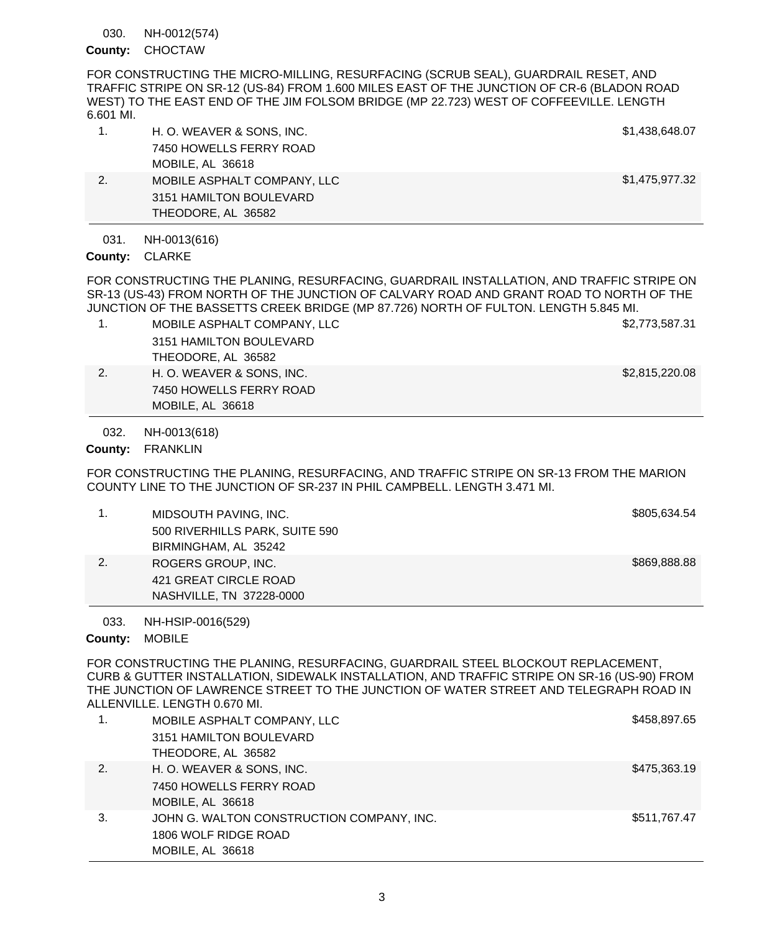NH-0012(574) 030.

County: CHOCTAW

FOR CONSTRUCTING THE MICRO-MILLING, RESURFACING (SCRUB SEAL), GUARDRAIL RESET, AND TRAFFIC STRIPE ON SR-12 (US-84) FROM 1.600 MILES EAST OF THE JUNCTION OF CR-6 (BLADON ROAD WEST) TO THE EAST END OF THE JIM FOLSOM BRIDGE (MP 22.723) WEST OF COFFEEVILLE. LENGTH 6.601 MI.

|    | H. O. WEAVER & SONS, INC.   | \$1,438,648.07 |
|----|-----------------------------|----------------|
|    | 7450 HOWELLS FERRY ROAD     |                |
|    | MOBILE, AL 36618            |                |
| 2. | MOBILE ASPHALT COMPANY, LLC | \$1,475,977.32 |
|    | 3151 HAMILTON BOULEVARD     |                |
|    | THEODORE, AL 36582          |                |

NH-0013(616) 031.

County: CLARKE

FOR CONSTRUCTING THE PLANING, RESURFACING, GUARDRAIL INSTALLATION, AND TRAFFIC STRIPE ON SR-13 (US-43) FROM NORTH OF THE JUNCTION OF CALVARY ROAD AND GRANT ROAD TO NORTH OF THE JUNCTION OF THE BASSETTS CREEK BRIDGE (MP 87.726) NORTH OF FULTON. LENGTH 5.845 MI.

- 1. MOBILE ASPHALT COMPANY, LLC \$2,773,587.31 3151 HAMILTON BOULEVARD
	- THEODORE, AL 36582
- 2. H. O. WEAVER & SONS, INC. **1998** 2.815,220.08 7450 HOWELLS FERRY ROAD MOBILE, AL 36618

NH-0013(618) 032.

County: FRANKLIN

FOR CONSTRUCTING THE PLANING, RESURFACING, AND TRAFFIC STRIPE ON SR-13 FROM THE MARION COUNTY LINE TO THE JUNCTION OF SR-237 IN PHIL CAMPBELL. LENGTH 3.471 MI.

|    | MIDSOUTH PAVING, INC.          | \$805,634.54 |
|----|--------------------------------|--------------|
|    | 500 RIVERHILLS PARK, SUITE 590 |              |
|    | BIRMINGHAM, AL 35242           |              |
| 2. | ROGERS GROUP, INC.             | \$869,888.88 |
|    | 421 GREAT CIRCLE ROAD          |              |
|    | NASHVILLE, TN 37228-0000       |              |

NH-HSIP-0016(529) 033.

County: MOBILE

FOR CONSTRUCTING THE PLANING, RESURFACING, GUARDRAIL STEEL BLOCKOUT REPLACEMENT, CURB & GUTTER INSTALLATION, SIDEWALK INSTALLATION, AND TRAFFIC STRIPE ON SR-16 (US-90) FROM THE JUNCTION OF LAWRENCE STREET TO THE JUNCTION OF WATER STREET AND TELEGRAPH ROAD IN ALLENVILLE. LENGTH 0.670 MI.

|    | MOBILE ASPHALT COMPANY, LLC               | \$458,897.65 |
|----|-------------------------------------------|--------------|
|    | 3151 HAMILTON BOULEVARD                   |              |
|    | THEODORE, AL 36582                        |              |
| 2. | H. O. WEAVER & SONS, INC.                 | \$475,363.19 |
|    | 7450 HOWELLS FERRY ROAD                   |              |
|    | MOBILE, AL 36618                          |              |
| 3. | JOHN G. WALTON CONSTRUCTION COMPANY, INC. | \$511,767.47 |
|    | 1806 WOLF RIDGE ROAD                      |              |
|    | MOBILE, AL 36618                          |              |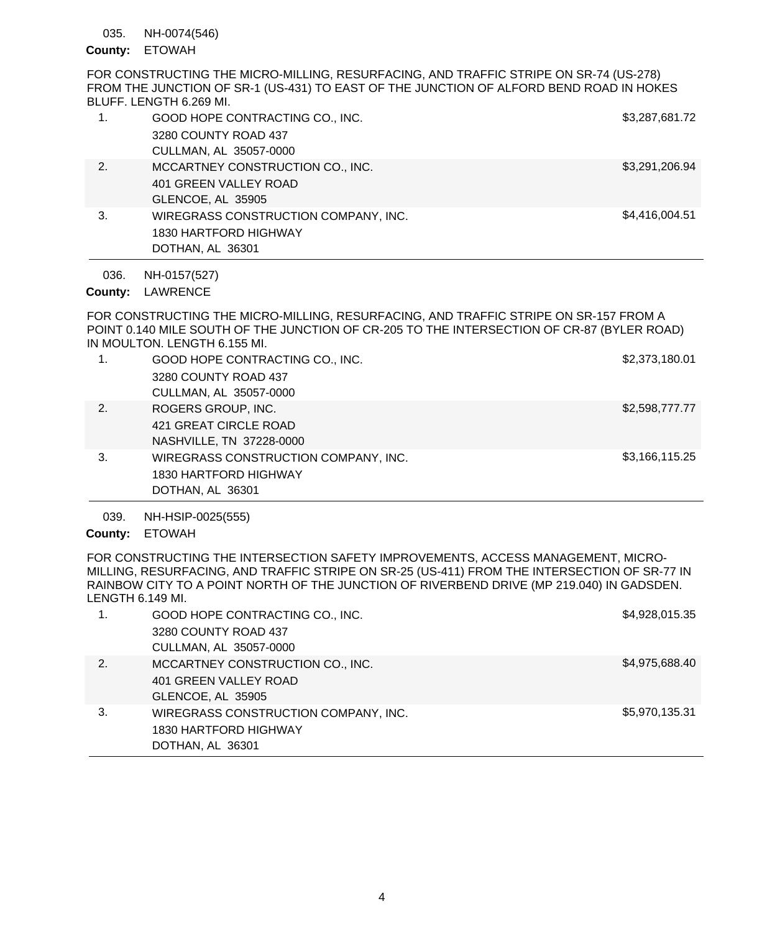#### NH-0074(546) 035.

# County: ETOWAH

FOR CONSTRUCTING THE MICRO-MILLING, RESURFACING, AND TRAFFIC STRIPE ON SR-74 (US-278) FROM THE JUNCTION OF SR-1 (US-431) TO EAST OF THE JUNCTION OF ALFORD BEND ROAD IN HOKES BLUFF. LENGTH 6.269 MI.

|    | GOOD HOPE CONTRACTING CO., INC.      | \$3,287,681.72 |
|----|--------------------------------------|----------------|
|    | 3280 COUNTY ROAD 437                 |                |
|    | CULLMAN, AL 35057-0000               |                |
| 2. | MCCARTNEY CONSTRUCTION CO., INC.     | \$3,291,206.94 |
|    | 401 GREEN VALLEY ROAD                |                |
|    | GLENCOE, AL 35905                    |                |
| 3. | WIREGRASS CONSTRUCTION COMPANY, INC. | \$4,416,004.51 |
|    | 1830 HARTFORD HIGHWAY                |                |
|    | DOTHAN, AL 36301                     |                |

NH-0157(527) 036.

County: LAWRENCE

FOR CONSTRUCTING THE MICRO-MILLING, RESURFACING, AND TRAFFIC STRIPE ON SR-157 FROM A POINT 0.140 MILE SOUTH OF THE JUNCTION OF CR-205 TO THE INTERSECTION OF CR-87 (BYLER ROAD) IN MOULTON. LENGTH 6.155 MI.

| 1. | GOOD HOPE CONTRACTING CO., INC.<br>3280 COUNTY ROAD 437<br>CULLMAN, AL 35057-0000 | \$2,373,180.01 |
|----|-----------------------------------------------------------------------------------|----------------|
| 2. | ROGERS GROUP, INC.<br>421 GREAT CIRCLE ROAD<br>NASHVILLE, TN 37228-0000           | \$2,598,777.77 |
| 3. | WIREGRASS CONSTRUCTION COMPANY, INC.<br>1830 HARTFORD HIGHWAY<br>DOTHAN, AL 36301 | \$3,166,115.25 |

NH-HSIP-0025(555) 039.

County: ETOWAH

FOR CONSTRUCTING THE INTERSECTION SAFETY IMPROVEMENTS, ACCESS MANAGEMENT, MICRO-MILLING, RESURFACING, AND TRAFFIC STRIPE ON SR-25 (US-411) FROM THE INTERSECTION OF SR-77 IN RAINBOW CITY TO A POINT NORTH OF THE JUNCTION OF RIVERBEND DRIVE (MP 219.040) IN GADSDEN. LENGTH 6.149 MI.

|    | GOOD HOPE CONTRACTING CO., INC.      | \$4,928,015.35 |
|----|--------------------------------------|----------------|
|    | 3280 COUNTY ROAD 437                 |                |
|    | CULLMAN, AL 35057-0000               |                |
| 2. | MCCARTNEY CONSTRUCTION CO., INC.     | \$4,975,688.40 |
|    | 401 GREEN VALLEY ROAD                |                |
|    | GLENCOE, AL 35905                    |                |
| 3. | WIREGRASS CONSTRUCTION COMPANY, INC. | \$5,970,135.31 |
|    | 1830 HARTFORD HIGHWAY                |                |
|    | DOTHAN, AL 36301                     |                |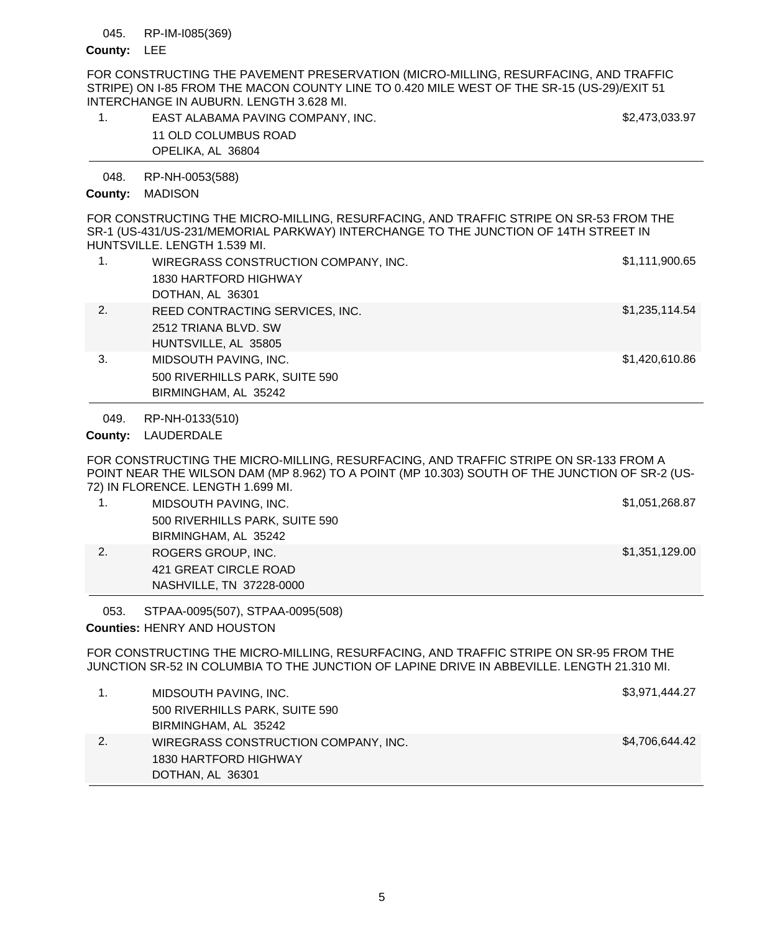#### RP-IM-I085(369) 045.

### County: LEE

FOR CONSTRUCTING THE PAVEMENT PRESERVATION (MICRO-MILLING, RESURFACING, AND TRAFFIC STRIPE) ON I-85 FROM THE MACON COUNTY LINE TO 0.420 MILE WEST OF THE SR-15 (US-29)/EXIT 51 INTERCHANGE IN AUBURN. LENGTH 3.628 MI.

| EAST ALABAMA PAVING COMPANY, INC. | \$2,473,033.97 |
|-----------------------------------|----------------|
| 11 OLD COLUMBUS ROAD              |                |
| OPELIKA, AL 36804                 |                |

RP-NH-0053(588) 048.

### County: MADISON

FOR CONSTRUCTING THE MICRO-MILLING, RESURFACING, AND TRAFFIC STRIPE ON SR-53 FROM THE SR-1 (US-431/US-231/MEMORIAL PARKWAY) INTERCHANGE TO THE JUNCTION OF 14TH STREET IN HUNTSVILLE. LENGTH 1.539 MI.

|    | WIREGRASS CONSTRUCTION COMPANY, INC.<br>1830 HARTFORD HIGHWAY<br>DOTHAN, AL 36301 | \$1,111,900.65 |
|----|-----------------------------------------------------------------------------------|----------------|
| 2. | REED CONTRACTING SERVICES, INC.<br>2512 TRIANA BLVD, SW<br>HUNTSVILLE, AL 35805   | \$1,235,114.54 |
| 3. | MIDSOUTH PAVING, INC.<br>500 RIVERHILLS PARK, SUITE 590<br>BIRMINGHAM, AL 35242   | \$1,420,610.86 |

RP-NH-0133(510) 049.

County: LAUDERDALE

FOR CONSTRUCTING THE MICRO-MILLING, RESURFACING, AND TRAFFIC STRIPE ON SR-133 FROM A POINT NEAR THE WILSON DAM (MP 8.962) TO A POINT (MP 10.303) SOUTH OF THE JUNCTION OF SR-2 (US-72) IN FLORENCE. LENGTH 1.699 MI.

| MIDSOUTH PAVING, INC.          | \$1,051,268.87 |
|--------------------------------|----------------|
| 500 RIVERHILLS PARK, SUITE 590 |                |
| BIRMINGHAM, AL 35242           |                |
| ROGERS GROUP, INC.             | \$1,351,129.00 |
| 421 GREAT CIRCLE ROAD          |                |
| NASHVILLE, TN 37228-0000       |                |

STPAA-0095(507), STPAA-0095(508) 053.

**Counties: HENRY AND HOUSTON** 

FOR CONSTRUCTING THE MICRO-MILLING, RESURFACING, AND TRAFFIC STRIPE ON SR-95 FROM THE JUNCTION SR-52 IN COLUMBIA TO THE JUNCTION OF LAPINE DRIVE IN ABBEVILLE. LENGTH 21.310 MI.

|    | MIDSOUTH PAVING, INC.                | \$3,971,444.27 |
|----|--------------------------------------|----------------|
|    | 500 RIVERHILLS PARK, SUITE 590       |                |
|    | BIRMINGHAM, AL 35242                 |                |
| 2. | WIREGRASS CONSTRUCTION COMPANY, INC. | \$4,706,644.42 |
|    | 1830 HARTFORD HIGHWAY                |                |
|    | DOTHAN, AL 36301                     |                |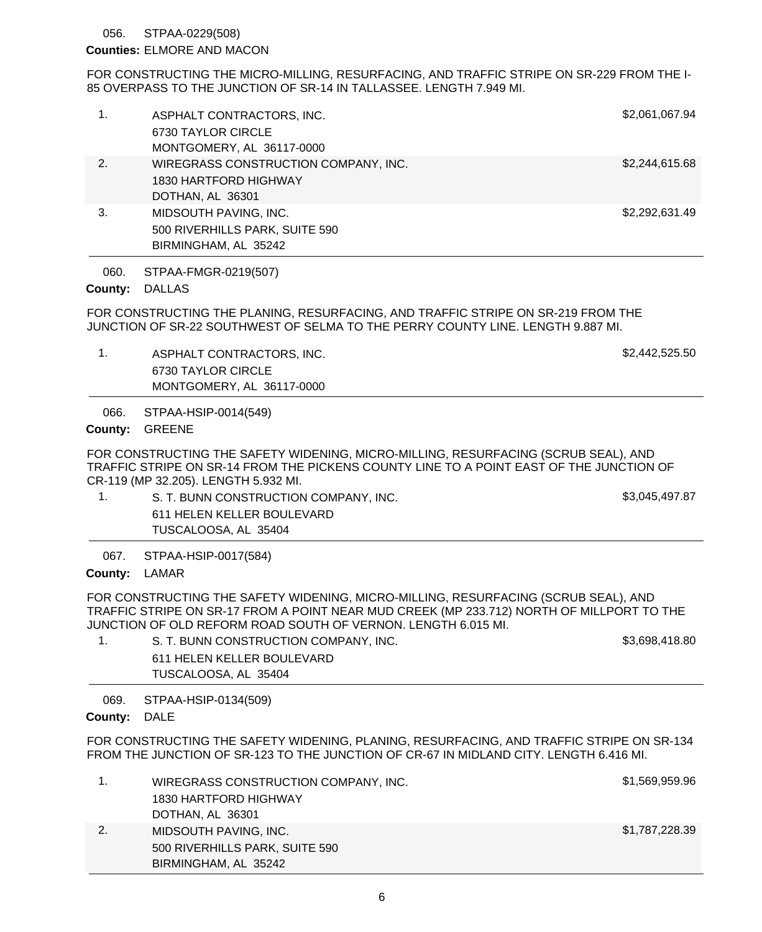#### STPAA-0229(508) 056.

### **Counties: ELMORE AND MACON**

FOR CONSTRUCTING THE MICRO-MILLING, RESURFACING, AND TRAFFIC STRIPE ON SR-229 FROM THE I-85 OVERPASS TO THE JUNCTION OF SR-14 IN TALLASSEE. LENGTH 7.949 MI.

| 1. | ASPHALT CONTRACTORS, INC.<br>6730 TAYLOR CIRCLE<br>MONTGOMERY, AL 36117-0000      | \$2,061,067.94 |
|----|-----------------------------------------------------------------------------------|----------------|
| 2. | WIREGRASS CONSTRUCTION COMPANY, INC.<br>1830 HARTFORD HIGHWAY<br>DOTHAN, AL 36301 | \$2,244,615.68 |
| 3. | MIDSOUTH PAVING, INC.<br>500 RIVERHILLS PARK, SUITE 590<br>BIRMINGHAM, AL 35242   | \$2,292,631.49 |

STPAA-FMGR-0219(507) 060.

#### County: DALLAS

FOR CONSTRUCTING THE PLANING, RESURFACING, AND TRAFFIC STRIPE ON SR-219 FROM THE JUNCTION OF SR-22 SOUTHWEST OF SELMA TO THE PERRY COUNTY LINE. LENGTH 9.887 MI.

1. ASPHALT CONTRACTORS, INC. And the state of the state of the state of the state of the state of the state of the state of the state of the state of the state of the state of the state of the state of the state of the sta 6730 TAYLOR CIRCLE MONTGOMERY, AL 36117-0000

STPAA-HSIP-0014(549) 066.

### County: GREENE

FOR CONSTRUCTING THE SAFETY WIDENING, MICRO-MILLING, RESURFACING (SCRUB SEAL), AND TRAFFIC STRIPE ON SR-14 FROM THE PICKENS COUNTY LINE TO A POINT EAST OF THE JUNCTION OF CR-119 (MP 32.205). LENGTH 5.932 MI.

- 1. S. T. BUNN CONSTRUCTION COMPANY, INC.  $$3,045,497.87$ 611 HELEN KELLER BOULEVARD
	- TUSCALOOSA, AL 35404

STPAA-HSIP-0017(584) 067.

### County: LAMAR

FOR CONSTRUCTING THE SAFETY WIDENING, MICRO-MILLING, RESURFACING (SCRUB SEAL), AND TRAFFIC STRIPE ON SR-17 FROM A POINT NEAR MUD CREEK (MP 233.712) NORTH OF MILLPORT TO THE JUNCTION OF OLD REFORM ROAD SOUTH OF VERNON. LENGTH 6.015 MI.

1. S. T. BUNN CONSTRUCTION COMPANY, INC. Same state and the state of the state state state state state state state state state state state state state state state state state state state state state state state state state 611 HELEN KELLER BOULEVARD TUSCALOOSA, AL 35404

STPAA-HSIP-0134(509) 069.

### County: DALE

FOR CONSTRUCTING THE SAFETY WIDENING, PLANING, RESURFACING, AND TRAFFIC STRIPE ON SR-134 FROM THE JUNCTION OF SR-123 TO THE JUNCTION OF CR-67 IN MIDLAND CITY. LENGTH 6.416 MI.

|    | WIREGRASS CONSTRUCTION COMPANY, INC. | \$1,569,959.96 |
|----|--------------------------------------|----------------|
|    | 1830 HARTFORD HIGHWAY                |                |
|    | DOTHAN, AL 36301                     |                |
| 2. | MIDSOUTH PAVING. INC.                | \$1,787,228.39 |
|    | 500 RIVERHILLS PARK, SUITE 590       |                |
|    | BIRMINGHAM, AL 35242                 |                |